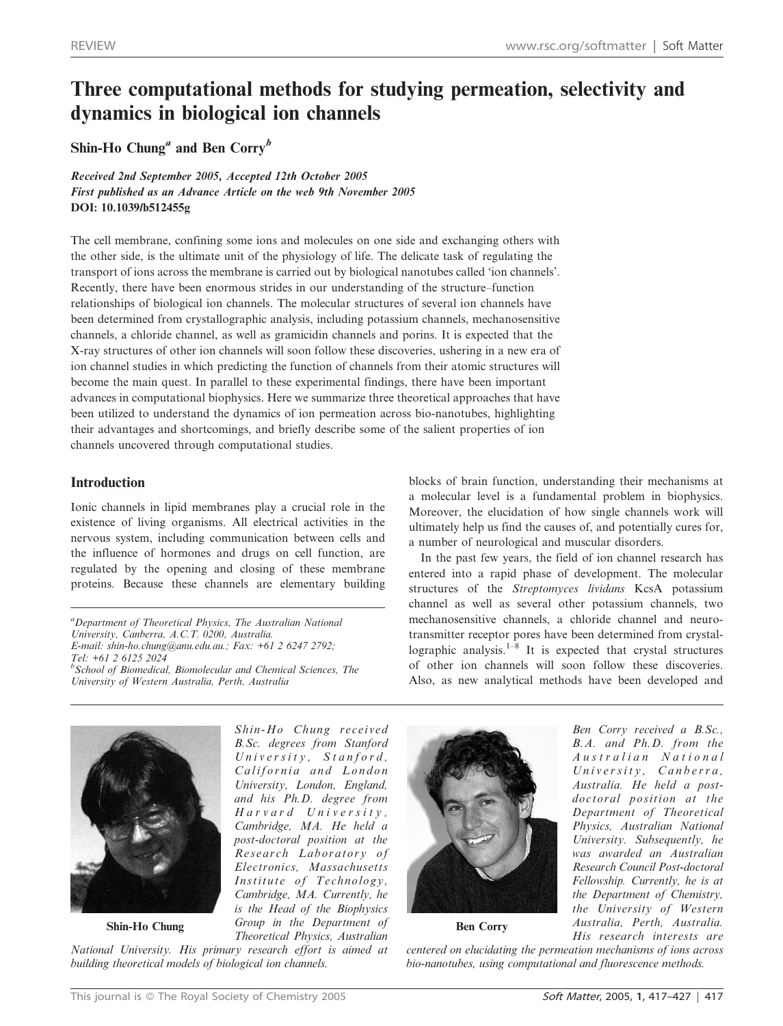# Three computational methods for studying permeation, selectivity and dynamics in biological ion channels

Shin-Ho Chung<sup>a</sup> and Ben Corry<sup>b</sup>

Received 2nd September 2005, Accepted 12th October 2005 First published as an Advance Article on the web 9th November 2005 DOI: 10.1039/b512455g

The cell membrane, confining some ions and molecules on one side and exchanging others with the other side, is the ultimate unit of the physiology of life. The delicate task of regulating the transport of ions across the membrane is carried out by biological nanotubes called 'ion channels'. Recently, there have been enormous strides in our understanding of the structure–function relationships of biological ion channels. The molecular structures of several ion channels have been determined from crystallographic analysis, including potassium channels, mechanosensitive channels, a chloride channel, as well as gramicidin channels and porins. It is expected that the X-ray structures of other ion channels will soon follow these discoveries, ushering in a new era of ion channel studies in which predicting the function of channels from their atomic structures will become the main quest. In parallel to these experimental findings, there have been important advances in computational biophysics. Here we summarize three theoretical approaches that have been utilized to understand the dynamics of ion permeation across bio-nanotubes, highlighting their advantages and shortcomings, and briefly describe some of the salient properties of ion channels uncovered through computational studies.

# Introduction

Ionic channels in lipid membranes play a crucial role in the existence of living organisms. All electrical activities in the nervous system, including communication between cells and the influence of hormones and drugs on cell function, are regulated by the opening and closing of these membrane proteins. Because these channels are elementary building

<sup>a</sup>Department of Theoretical Physics, The Australian National University, Canberra, A.C.T. 0200, Australia. E-mail: shin-ho.chung@anu.edu.au.; Fax: +61 2 6247 2792; Tel: +61 2 6125 2024 <sup>b</sup>School of Biomedical, Biomolecular and Chemical Sciences, The University of Western Australia, Perth, Australia

blocks of brain function, understanding their mechanisms at a molecular level is a fundamental problem in biophysics. Moreover, the elucidation of how single channels work will ultimately help us find the causes of, and potentially cures for, a number of neurological and muscular disorders.

In the past few years, the field of ion channel research has entered into a rapid phase of development. The molecular structures of the Streptomyces lividans KcsA potassium channel as well as several other potassium channels, two mechanosensitive channels, a chloride channel and neurotransmitter receptor pores have been determined from crystallographic analysis. $1-\frac{8}{3}$  It is expected that crystal structures of other ion channels will soon follow these discoveries. Also, as new analytical methods have been developed and



Shin-Ho Chung received B.Sc. degrees from Stanford University, Stanford, California and London University, London, England, and his Ph.D. degree from Harvard University, Cambridge, MA. He held a post-doctoral position at the Research Laboratory of Electronics, Massachusetts Institute of Technology, Cambridge, MA. Currently, he is the Head of the Biophysics  $\mathbf{G}$   $\mathbf{G}$   $\mathbf{G}$   $\mathbf{G}$   $\mathbf{G}$   $\mathbf{G}$   $\mathbf{G}$   $\mathbf{G}$   $\mathbf{G}$   $\mathbf{G}$   $\mathbf{G}$   $\mathbf{G}$   $\mathbf{G}$   $\mathbf{G}$   $\mathbf{G}$   $\mathbf{G}$   $\mathbf{G}$   $\mathbf{G}$   $\mathbf{G}$   $\mathbf{G}$   $\mathbf{G}$   $\mathbf{G}$   $\mathbf{G}$   $\mathbf{G}$   $\mathbf{$ Theoretical Physics, Australian

National University. His primary research effort is aimed at building theoretical models of biological ion channels.



His research interests are centered on elucidating the permeation mechanisms of ions across bio-nanotubes, using computational and fluorescence methods.

Ben Corry received a B.Sc., B.A. and Ph.D. from the Australian National University, Canberra, Australia. He held a postdoctoral position at the Department of Theoretical Physics, Australian National University. Subsequently, he was awarded an Australian Research Council Post-doctoral Fellowship. Currently, he is at the Department of Chemistry, the University of Western Australia, Perth, Australia.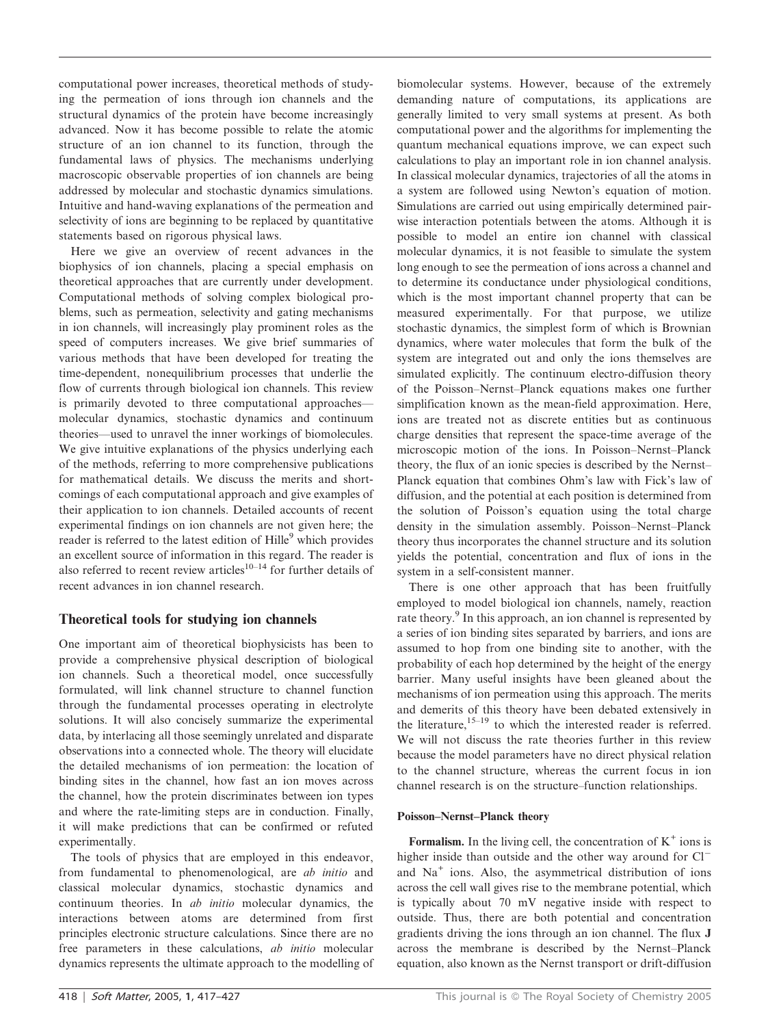computational power increases, theoretical methods of studying the permeation of ions through ion channels and the structural dynamics of the protein have become increasingly advanced. Now it has become possible to relate the atomic structure of an ion channel to its function, through the fundamental laws of physics. The mechanisms underlying macroscopic observable properties of ion channels are being addressed by molecular and stochastic dynamics simulations. Intuitive and hand-waving explanations of the permeation and selectivity of ions are beginning to be replaced by quantitative statements based on rigorous physical laws.

Here we give an overview of recent advances in the biophysics of ion channels, placing a special emphasis on theoretical approaches that are currently under development. Computational methods of solving complex biological problems, such as permeation, selectivity and gating mechanisms in ion channels, will increasingly play prominent roles as the speed of computers increases. We give brief summaries of various methods that have been developed for treating the time-dependent, nonequilibrium processes that underlie the flow of currents through biological ion channels. This review is primarily devoted to three computational approaches molecular dynamics, stochastic dynamics and continuum theories—used to unravel the inner workings of biomolecules. We give intuitive explanations of the physics underlying each of the methods, referring to more comprehensive publications for mathematical details. We discuss the merits and shortcomings of each computational approach and give examples of their application to ion channels. Detailed accounts of recent experimental findings on ion channels are not given here; the reader is referred to the latest edition of Hille<sup>9</sup> which provides an excellent source of information in this regard. The reader is also referred to recent review articles<sup>10–14</sup> for further details of recent advances in ion channel research.

# Theoretical tools for studying ion channels

One important aim of theoretical biophysicists has been to provide a comprehensive physical description of biological ion channels. Such a theoretical model, once successfully formulated, will link channel structure to channel function through the fundamental processes operating in electrolyte solutions. It will also concisely summarize the experimental data, by interlacing all those seemingly unrelated and disparate observations into a connected whole. The theory will elucidate the detailed mechanisms of ion permeation: the location of binding sites in the channel, how fast an ion moves across the channel, how the protein discriminates between ion types and where the rate-limiting steps are in conduction. Finally, it will make predictions that can be confirmed or refuted experimentally.

The tools of physics that are employed in this endeavor, from fundamental to phenomenological, are ab initio and classical molecular dynamics, stochastic dynamics and continuum theories. In ab initio molecular dynamics, the interactions between atoms are determined from first principles electronic structure calculations. Since there are no free parameters in these calculations, ab initio molecular dynamics represents the ultimate approach to the modelling of biomolecular systems. However, because of the extremely demanding nature of computations, its applications are generally limited to very small systems at present. As both computational power and the algorithms for implementing the quantum mechanical equations improve, we can expect such calculations to play an important role in ion channel analysis. In classical molecular dynamics, trajectories of all the atoms in a system are followed using Newton's equation of motion. Simulations are carried out using empirically determined pairwise interaction potentials between the atoms. Although it is possible to model an entire ion channel with classical molecular dynamics, it is not feasible to simulate the system long enough to see the permeation of ions across a channel and to determine its conductance under physiological conditions, which is the most important channel property that can be measured experimentally. For that purpose, we utilize stochastic dynamics, the simplest form of which is Brownian dynamics, where water molecules that form the bulk of the system are integrated out and only the ions themselves are simulated explicitly. The continuum electro-diffusion theory of the Poisson–Nernst–Planck equations makes one further simplification known as the mean-field approximation. Here, ions are treated not as discrete entities but as continuous charge densities that represent the space-time average of the microscopic motion of the ions. In Poisson–Nernst–Planck theory, the flux of an ionic species is described by the Nernst– Planck equation that combines Ohm's law with Fick's law of diffusion, and the potential at each position is determined from the solution of Poisson's equation using the total charge density in the simulation assembly. Poisson–Nernst–Planck theory thus incorporates the channel structure and its solution yields the potential, concentration and flux of ions in the system in a self-consistent manner.

There is one other approach that has been fruitfully employed to model biological ion channels, namely, reaction rate theory.<sup>9</sup> In this approach, an ion channel is represented by a series of ion binding sites separated by barriers, and ions are assumed to hop from one binding site to another, with the probability of each hop determined by the height of the energy barrier. Many useful insights have been gleaned about the mechanisms of ion permeation using this approach. The merits and demerits of this theory have been debated extensively in the literature, $15-19$  to which the interested reader is referred. We will not discuss the rate theories further in this review because the model parameters have no direct physical relation to the channel structure, whereas the current focus in ion channel research is on the structure–function relationships.

### Poisson–Nernst–Planck theory

Formalism. In the living cell, the concentration of  $K^+$  ions is higher inside than outside and the other way around for  $Cl^$ and  $Na<sup>+</sup>$  ions. Also, the asymmetrical distribution of ions across the cell wall gives rise to the membrane potential, which is typically about 70 mV negative inside with respect to outside. Thus, there are both potential and concentration gradients driving the ions through an ion channel. The flux J across the membrane is described by the Nernst–Planck equation, also known as the Nernst transport or drift-diffusion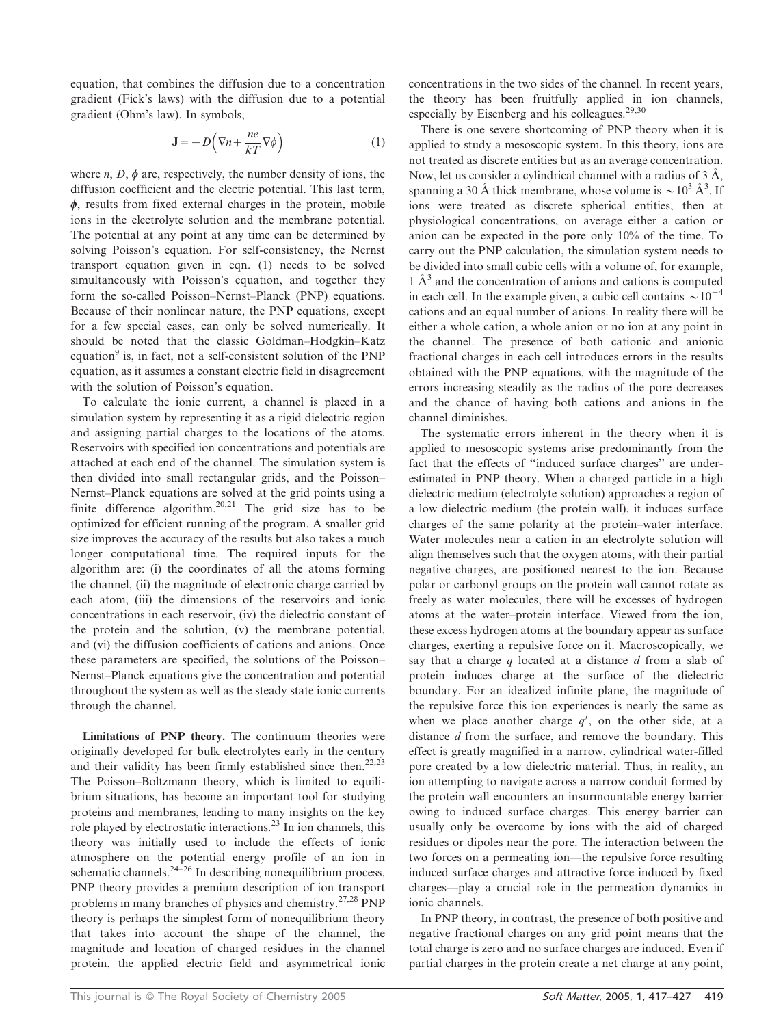equation, that combines the diffusion due to a concentration gradient (Fick's laws) with the diffusion due to a potential gradient (Ohm's law). In symbols,

$$
\mathbf{J} = -D\left(\nabla n + \frac{ne}{kT}\nabla\phi\right) \tag{1}
$$

where *n*, *D*,  $\phi$  are, respectively, the number density of ions, the diffusion coefficient and the electric potential. This last term,  $\phi$ , results from fixed external charges in the protein, mobile ions in the electrolyte solution and the membrane potential. The potential at any point at any time can be determined by solving Poisson's equation. For self-consistency, the Nernst transport equation given in eqn. (1) needs to be solved simultaneously with Poisson's equation, and together they form the so-called Poisson–Nernst–Planck (PNP) equations. Because of their nonlinear nature, the PNP equations, except for a few special cases, can only be solved numerically. It should be noted that the classic Goldman–Hodgkin–Katz equation<sup>9</sup> is, in fact, not a self-consistent solution of the PNP equation, as it assumes a constant electric field in disagreement with the solution of Poisson's equation.

To calculate the ionic current, a channel is placed in a simulation system by representing it as a rigid dielectric region and assigning partial charges to the locations of the atoms. Reservoirs with specified ion concentrations and potentials are attached at each end of the channel. The simulation system is then divided into small rectangular grids, and the Poisson– Nernst–Planck equations are solved at the grid points using a finite difference algorithm.<sup>20,21</sup> The grid size has to be optimized for efficient running of the program. A smaller grid size improves the accuracy of the results but also takes a much longer computational time. The required inputs for the algorithm are: (i) the coordinates of all the atoms forming the channel, (ii) the magnitude of electronic charge carried by each atom, (iii) the dimensions of the reservoirs and ionic concentrations in each reservoir, (iv) the dielectric constant of the protein and the solution, (v) the membrane potential, and (vi) the diffusion coefficients of cations and anions. Once these parameters are specified, the solutions of the Poisson– Nernst–Planck equations give the concentration and potential throughout the system as well as the steady state ionic currents through the channel.

Limitations of PNP theory. The continuum theories were originally developed for bulk electrolytes early in the century and their validity has been firmly established since then.<sup>22,23</sup> The Poisson–Boltzmann theory, which is limited to equilibrium situations, has become an important tool for studying proteins and membranes, leading to many insights on the key role played by electrostatic interactions.<sup>23</sup> In ion channels, this theory was initially used to include the effects of ionic atmosphere on the potential energy profile of an ion in schematic channels. $24-26$  In describing nonequilibrium process, PNP theory provides a premium description of ion transport problems in many branches of physics and chemistry.27,28 PNP theory is perhaps the simplest form of nonequilibrium theory that takes into account the shape of the channel, the magnitude and location of charged residues in the channel protein, the applied electric field and asymmetrical ionic

concentrations in the two sides of the channel. In recent years, the theory has been fruitfully applied in ion channels, especially by Eisenberg and his colleagues.<sup>29,30</sup>

There is one severe shortcoming of PNP theory when it is applied to study a mesoscopic system. In this theory, ions are not treated as discrete entities but as an average concentration. Now, let us consider a cylindrical channel with a radius of  $3 \text{ Å}$ , spanning a 30 Å thick membrane, whose volume is  $\sim 10^3 \text{ Å}^3$ . If ions were treated as discrete spherical entities, then at physiological concentrations, on average either a cation or anion can be expected in the pore only 10% of the time. To carry out the PNP calculation, the simulation system needs to be divided into small cubic cells with a volume of, for example,  $1 \text{ Å}^3$  and the concentration of anions and cations is computed in each cell. In the example given, a cubic cell contains  $\sim 10^{-4}$ cations and an equal number of anions. In reality there will be either a whole cation, a whole anion or no ion at any point in the channel. The presence of both cationic and anionic fractional charges in each cell introduces errors in the results obtained with the PNP equations, with the magnitude of the errors increasing steadily as the radius of the pore decreases and the chance of having both cations and anions in the channel diminishes.

The systematic errors inherent in the theory when it is applied to mesoscopic systems arise predominantly from the fact that the effects of ''induced surface charges'' are underestimated in PNP theory. When a charged particle in a high dielectric medium (electrolyte solution) approaches a region of a low dielectric medium (the protein wall), it induces surface charges of the same polarity at the protein–water interface. Water molecules near a cation in an electrolyte solution will align themselves such that the oxygen atoms, with their partial negative charges, are positioned nearest to the ion. Because polar or carbonyl groups on the protein wall cannot rotate as freely as water molecules, there will be excesses of hydrogen atoms at the water–protein interface. Viewed from the ion, these excess hydrogen atoms at the boundary appear as surface charges, exerting a repulsive force on it. Macroscopically, we say that a charge  $q$  located at a distance  $d$  from a slab of protein induces charge at the surface of the dielectric boundary. For an idealized infinite plane, the magnitude of the repulsive force this ion experiences is nearly the same as when we place another charge  $q'$ , on the other side, at a distance d from the surface, and remove the boundary. This effect is greatly magnified in a narrow, cylindrical water-filled pore created by a low dielectric material. Thus, in reality, an ion attempting to navigate across a narrow conduit formed by the protein wall encounters an insurmountable energy barrier owing to induced surface charges. This energy barrier can usually only be overcome by ions with the aid of charged residues or dipoles near the pore. The interaction between the two forces on a permeating ion—the repulsive force resulting induced surface charges and attractive force induced by fixed charges—play a crucial role in the permeation dynamics in ionic channels.

In PNP theory, in contrast, the presence of both positive and negative fractional charges on any grid point means that the total charge is zero and no surface charges are induced. Even if partial charges in the protein create a net charge at any point,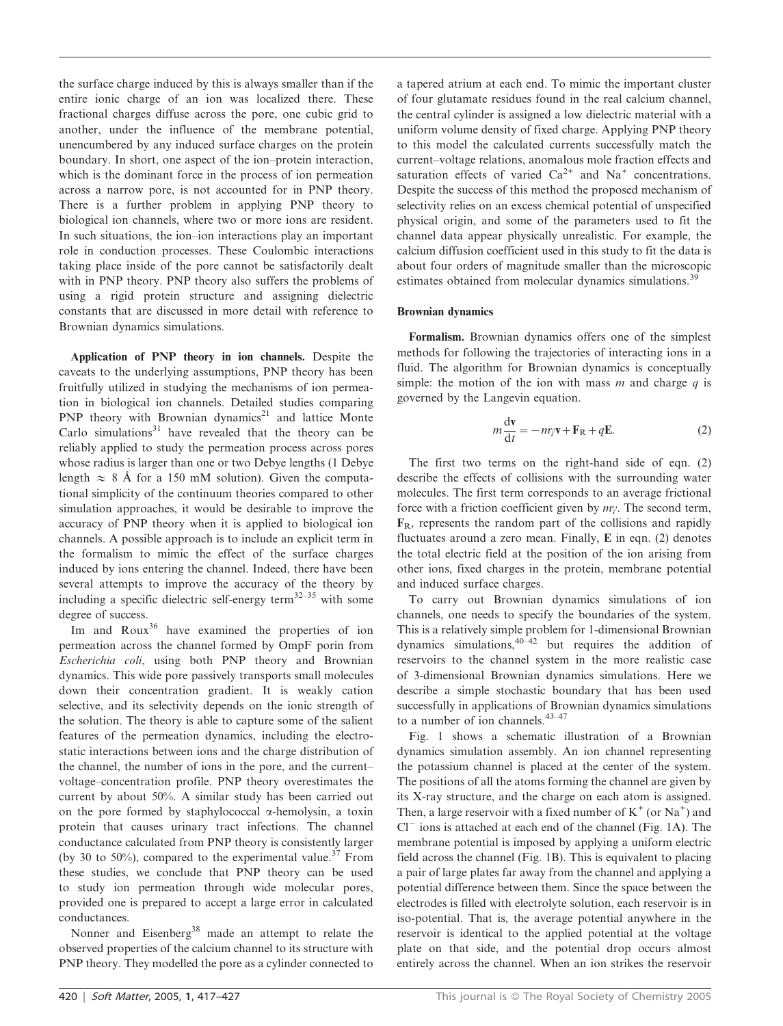the surface charge induced by this is always smaller than if the entire ionic charge of an ion was localized there. These fractional charges diffuse across the pore, one cubic grid to another, under the influence of the membrane potential, unencumbered by any induced surface charges on the protein boundary. In short, one aspect of the ion–protein interaction, which is the dominant force in the process of ion permeation across a narrow pore, is not accounted for in PNP theory. There is a further problem in applying PNP theory to biological ion channels, where two or more ions are resident. In such situations, the ion–ion interactions play an important role in conduction processes. These Coulombic interactions taking place inside of the pore cannot be satisfactorily dealt with in PNP theory. PNP theory also suffers the problems of using a rigid protein structure and assigning dielectric constants that are discussed in more detail with reference to Brownian dynamics simulations.

Application of PNP theory in ion channels. Despite the caveats to the underlying assumptions, PNP theory has been fruitfully utilized in studying the mechanisms of ion permeation in biological ion channels. Detailed studies comparing PNP theory with Brownian dynamics $21$  and lattice Monte Carlo simulations $31$  have revealed that the theory can be reliably applied to study the permeation process across pores whose radius is larger than one or two Debye lengths (1 Debye length  $\approx 8$  Å for a 150 mM solution). Given the computational simplicity of the continuum theories compared to other simulation approaches, it would be desirable to improve the accuracy of PNP theory when it is applied to biological ion channels. A possible approach is to include an explicit term in the formalism to mimic the effect of the surface charges induced by ions entering the channel. Indeed, there have been several attempts to improve the accuracy of the theory by including a specific dielectric self-energy term32–35 with some degree of success.

Im and Roux<sup>36</sup> have examined the properties of ion permeation across the channel formed by OmpF porin from Escherichia coli, using both PNP theory and Brownian dynamics. This wide pore passively transports small molecules down their concentration gradient. It is weakly cation selective, and its selectivity depends on the ionic strength of the solution. The theory is able to capture some of the salient features of the permeation dynamics, including the electrostatic interactions between ions and the charge distribution of the channel, the number of ions in the pore, and the current– voltage–concentration profile. PNP theory overestimates the current by about 50%. A similar study has been carried out on the pore formed by staphylococcal  $\alpha$ -hemolysin, a toxin protein that causes urinary tract infections. The channel conductance calculated from PNP theory is consistently larger (by 30 to 50%), compared to the experimental value.<sup>37</sup> From these studies, we conclude that PNP theory can be used to study ion permeation through wide molecular pores, provided one is prepared to accept a large error in calculated conductances.

Nonner and Eisenberg<sup>38</sup> made an attempt to relate the observed properties of the calcium channel to its structure with PNP theory. They modelled the pore as a cylinder connected to

a tapered atrium at each end. To mimic the important cluster of four glutamate residues found in the real calcium channel, the central cylinder is assigned a low dielectric material with a uniform volume density of fixed charge. Applying PNP theory to this model the calculated currents successfully match the current–voltage relations, anomalous mole fraction effects and saturation effects of varied  $Ca^{2+}$  and  $Na^{+}$  concentrations. Despite the success of this method the proposed mechanism of selectivity relies on an excess chemical potential of unspecified physical origin, and some of the parameters used to fit the channel data appear physically unrealistic. For example, the calcium diffusion coefficient used in this study to fit the data is about four orders of magnitude smaller than the microscopic estimates obtained from molecular dynamics simulations.<sup>3</sup>

#### Brownian dynamics

Formalism. Brownian dynamics offers one of the simplest methods for following the trajectories of interacting ions in a fluid. The algorithm for Brownian dynamics is conceptually simple: the motion of the ion with mass m and charge q is governed by the Langevin equation.

$$
m\frac{\mathrm{d}\mathbf{v}}{\mathrm{d}t} = -m\gamma \mathbf{v} + \mathbf{F}_{\mathrm{R}} + q\mathbf{E}.\tag{2}
$$

The first two terms on the right-hand side of eqn. (2) describe the effects of collisions with the surrounding water molecules. The first term corresponds to an average frictional force with a friction coefficient given by  $m\gamma$ . The second term,  $\mathbf{F}_R$ , represents the random part of the collisions and rapidly fluctuates around a zero mean. Finally, E in eqn. (2) denotes the total electric field at the position of the ion arising from other ions, fixed charges in the protein, membrane potential and induced surface charges.

To carry out Brownian dynamics simulations of ion channels, one needs to specify the boundaries of the system. This is a relatively simple problem for 1-dimensional Brownian  $d$ ynamics simulations, $40-42$  but requires the addition of reservoirs to the channel system in the more realistic case of 3-dimensional Brownian dynamics simulations. Here we describe a simple stochastic boundary that has been used successfully in applications of Brownian dynamics simulations to a number of ion channels.<sup>43-47</sup>

Fig. 1 shows a schematic illustration of a Brownian dynamics simulation assembly. An ion channel representing the potassium channel is placed at the center of the system. The positions of all the atoms forming the channel are given by its X-ray structure, and the charge on each atom is assigned. Then, a large reservoir with a fixed number of  $K^+$  (or  $Na^+$ ) and  $Cl<sup>-</sup>$  ions is attached at each end of the channel (Fig. 1A). The membrane potential is imposed by applying a uniform electric field across the channel (Fig. 1B). This is equivalent to placing a pair of large plates far away from the channel and applying a potential difference between them. Since the space between the electrodes is filled with electrolyte solution, each reservoir is in iso-potential. That is, the average potential anywhere in the reservoir is identical to the applied potential at the voltage plate on that side, and the potential drop occurs almost entirely across the channel. When an ion strikes the reservoir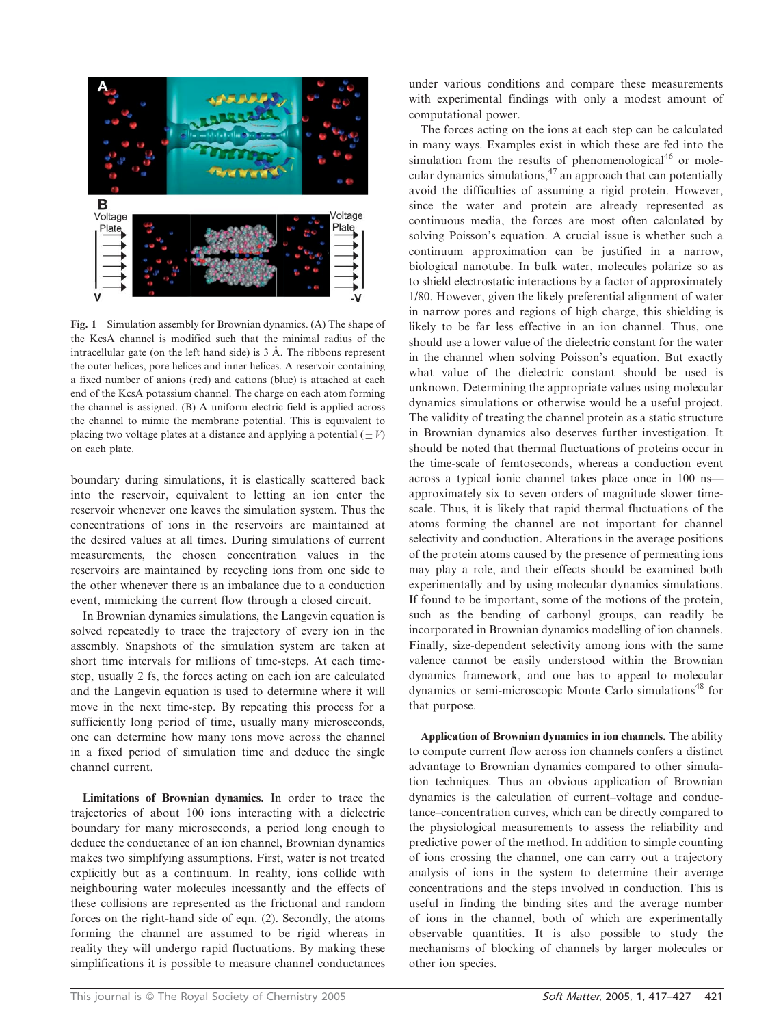

Fig. 1 Simulation assembly for Brownian dynamics. (A) The shape of the KcsA channel is modified such that the minimal radius of the intracellular gate (on the left hand side) is  $3 \text{ Å}$ . The ribbons represent the outer helices, pore helices and inner helices. A reservoir containing a fixed number of anions (red) and cations (blue) is attached at each end of the KcsA potassium channel. The charge on each atom forming the channel is assigned. (B) A uniform electric field is applied across the channel to mimic the membrane potential. This is equivalent to placing two voltage plates at a distance and applying a potential  $(\pm V)$ on each plate.

boundary during simulations, it is elastically scattered back into the reservoir, equivalent to letting an ion enter the reservoir whenever one leaves the simulation system. Thus the concentrations of ions in the reservoirs are maintained at the desired values at all times. During simulations of current measurements, the chosen concentration values in the reservoirs are maintained by recycling ions from one side to the other whenever there is an imbalance due to a conduction event, mimicking the current flow through a closed circuit.

In Brownian dynamics simulations, the Langevin equation is solved repeatedly to trace the trajectory of every ion in the assembly. Snapshots of the simulation system are taken at short time intervals for millions of time-steps. At each timestep, usually 2 fs, the forces acting on each ion are calculated and the Langevin equation is used to determine where it will move in the next time-step. By repeating this process for a sufficiently long period of time, usually many microseconds, one can determine how many ions move across the channel in a fixed period of simulation time and deduce the single channel current.

Limitations of Brownian dynamics. In order to trace the trajectories of about 100 ions interacting with a dielectric boundary for many microseconds, a period long enough to deduce the conductance of an ion channel, Brownian dynamics makes two simplifying assumptions. First, water is not treated explicitly but as a continuum. In reality, ions collide with neighbouring water molecules incessantly and the effects of these collisions are represented as the frictional and random forces on the right-hand side of eqn. (2). Secondly, the atoms forming the channel are assumed to be rigid whereas in reality they will undergo rapid fluctuations. By making these simplifications it is possible to measure channel conductances

under various conditions and compare these measurements with experimental findings with only a modest amount of computational power.

The forces acting on the ions at each step can be calculated in many ways. Examples exist in which these are fed into the simulation from the results of phenomenological $46$  or molecular dynamics simulations, $47$  an approach that can potentially avoid the difficulties of assuming a rigid protein. However, since the water and protein are already represented as continuous media, the forces are most often calculated by solving Poisson's equation. A crucial issue is whether such a continuum approximation can be justified in a narrow, biological nanotube. In bulk water, molecules polarize so as to shield electrostatic interactions by a factor of approximately 1/80. However, given the likely preferential alignment of water in narrow pores and regions of high charge, this shielding is likely to be far less effective in an ion channel. Thus, one should use a lower value of the dielectric constant for the water in the channel when solving Poisson's equation. But exactly what value of the dielectric constant should be used is unknown. Determining the appropriate values using molecular dynamics simulations or otherwise would be a useful project. The validity of treating the channel protein as a static structure in Brownian dynamics also deserves further investigation. It should be noted that thermal fluctuations of proteins occur in the time-scale of femtoseconds, whereas a conduction event across a typical ionic channel takes place once in 100 ns approximately six to seven orders of magnitude slower timescale. Thus, it is likely that rapid thermal fluctuations of the atoms forming the channel are not important for channel selectivity and conduction. Alterations in the average positions of the protein atoms caused by the presence of permeating ions may play a role, and their effects should be examined both experimentally and by using molecular dynamics simulations. If found to be important, some of the motions of the protein, such as the bending of carbonyl groups, can readily be incorporated in Brownian dynamics modelling of ion channels. Finally, size-dependent selectivity among ions with the same valence cannot be easily understood within the Brownian dynamics framework, and one has to appeal to molecular dynamics or semi-microscopic Monte Carlo simulations<sup>48</sup> for that purpose.

Application of Brownian dynamics in ion channels. The ability to compute current flow across ion channels confers a distinct advantage to Brownian dynamics compared to other simulation techniques. Thus an obvious application of Brownian dynamics is the calculation of current–voltage and conductance–concentration curves, which can be directly compared to the physiological measurements to assess the reliability and predictive power of the method. In addition to simple counting of ions crossing the channel, one can carry out a trajectory analysis of ions in the system to determine their average concentrations and the steps involved in conduction. This is useful in finding the binding sites and the average number of ions in the channel, both of which are experimentally observable quantities. It is also possible to study the mechanisms of blocking of channels by larger molecules or other ion species.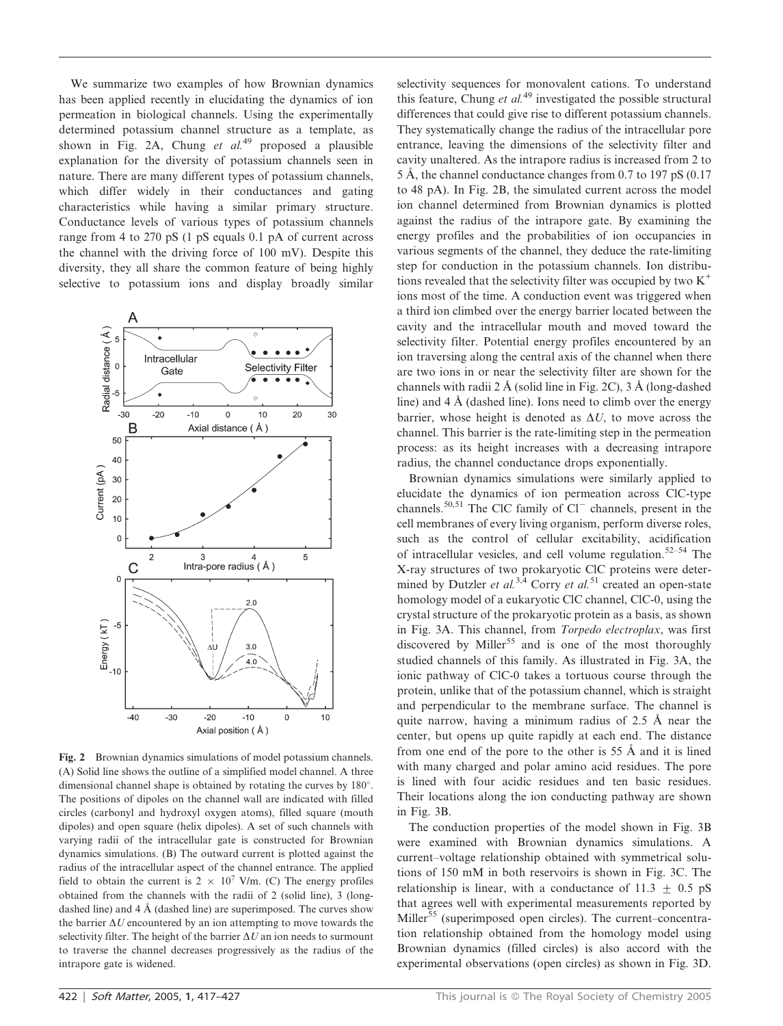We summarize two examples of how Brownian dynamics has been applied recently in elucidating the dynamics of ion permeation in biological channels. Using the experimentally determined potassium channel structure as a template, as shown in Fig. 2A, Chung et  $al^{49}$  proposed a plausible explanation for the diversity of potassium channels seen in nature. There are many different types of potassium channels, which differ widely in their conductances and gating characteristics while having a similar primary structure. Conductance levels of various types of potassium channels range from 4 to 270 pS (1 pS equals 0.1 pA of current across the channel with the driving force of 100 mV). Despite this diversity, they all share the common feature of being highly selective to potassium ions and display broadly similar



Fig. 2 Brownian dynamics simulations of model potassium channels. (A) Solid line shows the outline of a simplified model channel. A three dimensional channel shape is obtained by rotating the curves by 180°. The positions of dipoles on the channel wall are indicated with filled circles (carbonyl and hydroxyl oxygen atoms), filled square (mouth dipoles) and open square (helix dipoles). A set of such channels with varying radii of the intracellular gate is constructed for Brownian dynamics simulations. (B) The outward current is plotted against the radius of the intracellular aspect of the channel entrance. The applied field to obtain the current is  $2 \times 10^7$  V/m. (C) The energy profiles obtained from the channels with the radii of 2 (solid line), 3 (longdashed line) and  $4 \text{ Å}$  (dashed line) are superimposed. The curves show the barrier  $\Delta U$  encountered by an ion attempting to move towards the selectivity filter. The height of the barrier  $\Delta U$  an ion needs to surmount to traverse the channel decreases progressively as the radius of the intrapore gate is widened.

selectivity sequences for monovalent cations. To understand this feature, Chung et  $al^{49}$  investigated the possible structural differences that could give rise to different potassium channels. They systematically change the radius of the intracellular pore entrance, leaving the dimensions of the selectivity filter and cavity unaltered. As the intrapore radius is increased from 2 to 5 Å, the channel conductance changes from  $0.7$  to 197 pS (0.17) to 48 pA). In Fig. 2B, the simulated current across the model ion channel determined from Brownian dynamics is plotted against the radius of the intrapore gate. By examining the energy profiles and the probabilities of ion occupancies in various segments of the channel, they deduce the rate-limiting step for conduction in the potassium channels. Ion distributions revealed that the selectivity filter was occupied by two  $K^+$ ions most of the time. A conduction event was triggered when a third ion climbed over the energy barrier located between the cavity and the intracellular mouth and moved toward the selectivity filter. Potential energy profiles encountered by an ion traversing along the central axis of the channel when there are two ions in or near the selectivity filter are shown for the channels with radii 2 Å (solid line in Fig. 2C), 3 Å (long-dashed line) and  $4 \text{ Å}$  (dashed line). Ions need to climb over the energy barrier, whose height is denoted as  $\Delta U$ , to move across the channel. This barrier is the rate-limiting step in the permeation process: as its height increases with a decreasing intrapore radius, the channel conductance drops exponentially.

Brownian dynamics simulations were similarly applied to elucidate the dynamics of ion permeation across ClC-type channels.<sup>50,51</sup> The ClC family of Cl<sup>-</sup> channels, present in the cell membranes of every living organism, perform diverse roles, such as the control of cellular excitability, acidification of intracellular vesicles, and cell volume regulation.<sup>52–54</sup> The X-ray structures of two prokaryotic ClC proteins were determined by Dutzler et al.<sup>3,4</sup> Corry et al.<sup>51</sup> created an open-state homology model of a eukaryotic ClC channel, ClC-0, using the crystal structure of the prokaryotic protein as a basis, as shown in Fig. 3A. This channel, from Torpedo electroplax, was first discovered by Miller<sup>55</sup> and is one of the most thoroughly studied channels of this family. As illustrated in Fig. 3A, the ionic pathway of ClC-0 takes a tortuous course through the protein, unlike that of the potassium channel, which is straight and perpendicular to the membrane surface. The channel is quite narrow, having a minimum radius of  $2.5 \text{ Å}$  near the center, but opens up quite rapidly at each end. The distance from one end of the pore to the other is  $55 \text{ Å}$  and it is lined with many charged and polar amino acid residues. The pore is lined with four acidic residues and ten basic residues. Their locations along the ion conducting pathway are shown in Fig. 3B.

The conduction properties of the model shown in Fig. 3B were examined with Brownian dynamics simulations. A current–voltage relationship obtained with symmetrical solutions of 150 mM in both reservoirs is shown in Fig. 3C. The relationship is linear, with a conductance of  $11.3 \pm 0.5$  pS that agrees well with experimental measurements reported by Miller<sup>55</sup> (superimposed open circles). The current–concentration relationship obtained from the homology model using Brownian dynamics (filled circles) is also accord with the experimental observations (open circles) as shown in Fig. 3D.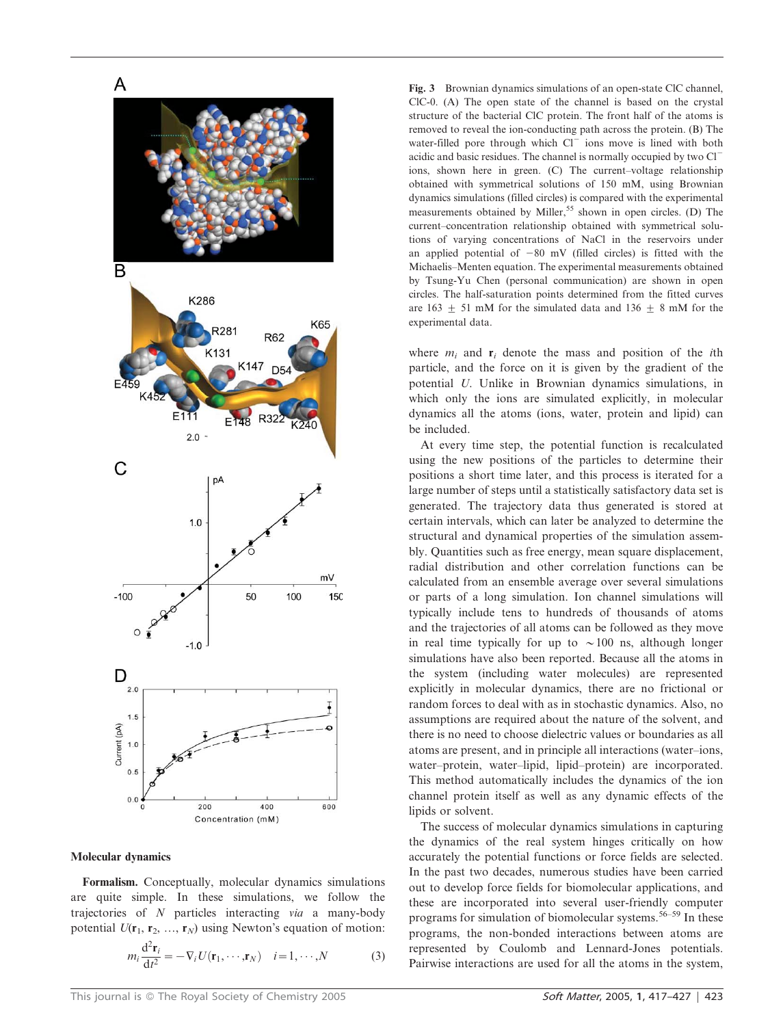

#### Molecular dynamics

Formalism. Conceptually, molecular dynamics simulations are quite simple. In these simulations, we follow the trajectories of N particles interacting via a many-body potential  $U(\mathbf{r}_1, \mathbf{r}_2, ..., \mathbf{r}_N)$  using Newton's equation of motion:

$$
m_i \frac{d^2 \mathbf{r}_i}{dt^2} = -\nabla_i U(\mathbf{r}_1, \cdots, \mathbf{r}_N) \quad i = 1, \cdots, N
$$
 (3)

Fig. 3 Brownian dynamics simulations of an open-state ClC channel, ClC-0. (A) The open state of the channel is based on the crystal structure of the bacterial ClC protein. The front half of the atoms is removed to reveal the ion-conducting path across the protein. (B) The water-filled pore through which  $Cl^-$  ions move is lined with both acidic and basic residues. The channel is normally occupied by two Cl<sup>-</sup> ions, shown here in green. (C) The current–voltage relationship obtained with symmetrical solutions of 150 mM, using Brownian dynamics simulations (filled circles) is compared with the experimental measurements obtained by Miller,<sup>55</sup> shown in open circles. (D) The current–concentration relationship obtained with symmetrical solutions of varying concentrations of NaCl in the reservoirs under an applied potential of  $-80$  mV (filled circles) is fitted with the Michaelis–Menten equation. The experimental measurements obtained by Tsung-Yu Chen (personal communication) are shown in open circles. The half-saturation points determined from the fitted curves are 163  $\pm$  51 mM for the simulated data and 136  $\pm$  8 mM for the experimental data.

where  $m_i$  and  $\mathbf{r}_i$  denote the mass and position of the *i*th particle, and the force on it is given by the gradient of the potential U. Unlike in Brownian dynamics simulations, in which only the ions are simulated explicitly, in molecular dynamics all the atoms (ions, water, protein and lipid) can be included.

At every time step, the potential function is recalculated using the new positions of the particles to determine their positions a short time later, and this process is iterated for a large number of steps until a statistically satisfactory data set is generated. The trajectory data thus generated is stored at certain intervals, which can later be analyzed to determine the structural and dynamical properties of the simulation assembly. Quantities such as free energy, mean square displacement, radial distribution and other correlation functions can be calculated from an ensemble average over several simulations or parts of a long simulation. Ion channel simulations will typically include tens to hundreds of thousands of atoms and the trajectories of all atoms can be followed as they move in real time typically for up to  $\sim 100$  ns, although longer simulations have also been reported. Because all the atoms in the system (including water molecules) are represented explicitly in molecular dynamics, there are no frictional or random forces to deal with as in stochastic dynamics. Also, no assumptions are required about the nature of the solvent, and there is no need to choose dielectric values or boundaries as all atoms are present, and in principle all interactions (water–ions, water–protein, water–lipid, lipid–protein) are incorporated. This method automatically includes the dynamics of the ion channel protein itself as well as any dynamic effects of the lipids or solvent.

The success of molecular dynamics simulations in capturing the dynamics of the real system hinges critically on how accurately the potential functions or force fields are selected. In the past two decades, numerous studies have been carried out to develop force fields for biomolecular applications, and these are incorporated into several user-friendly computer programs for simulation of biomolecular systems.56–59 In these programs, the non-bonded interactions between atoms are represented by Coulomb and Lennard-Jones potentials. Pairwise interactions are used for all the atoms in the system,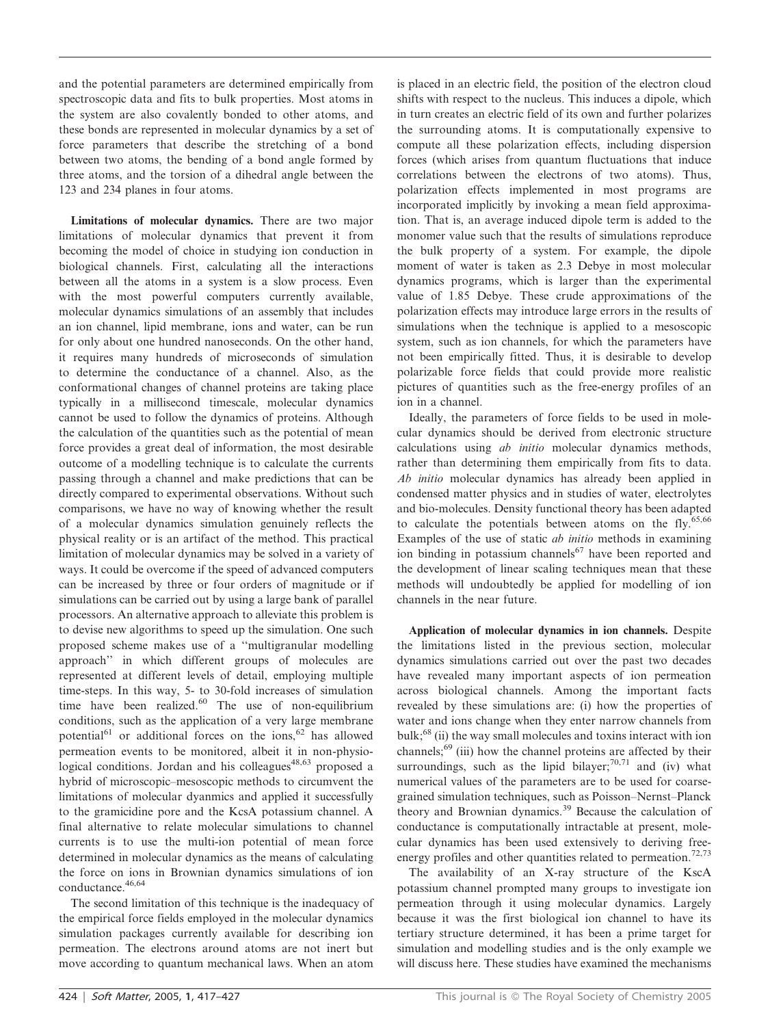and the potential parameters are determined empirically from spectroscopic data and fits to bulk properties. Most atoms in the system are also covalently bonded to other atoms, and these bonds are represented in molecular dynamics by a set of force parameters that describe the stretching of a bond between two atoms, the bending of a bond angle formed by three atoms, and the torsion of a dihedral angle between the 123 and 234 planes in four atoms.

Limitations of molecular dynamics. There are two major limitations of molecular dynamics that prevent it from becoming the model of choice in studying ion conduction in biological channels. First, calculating all the interactions between all the atoms in a system is a slow process. Even with the most powerful computers currently available, molecular dynamics simulations of an assembly that includes an ion channel, lipid membrane, ions and water, can be run for only about one hundred nanoseconds. On the other hand, it requires many hundreds of microseconds of simulation to determine the conductance of a channel. Also, as the conformational changes of channel proteins are taking place typically in a millisecond timescale, molecular dynamics cannot be used to follow the dynamics of proteins. Although the calculation of the quantities such as the potential of mean force provides a great deal of information, the most desirable outcome of a modelling technique is to calculate the currents passing through a channel and make predictions that can be directly compared to experimental observations. Without such comparisons, we have no way of knowing whether the result of a molecular dynamics simulation genuinely reflects the physical reality or is an artifact of the method. This practical limitation of molecular dynamics may be solved in a variety of ways. It could be overcome if the speed of advanced computers can be increased by three or four orders of magnitude or if simulations can be carried out by using a large bank of parallel processors. An alternative approach to alleviate this problem is to devise new algorithms to speed up the simulation. One such proposed scheme makes use of a ''multigranular modelling approach'' in which different groups of molecules are represented at different levels of detail, employing multiple time-steps. In this way, 5- to 30-fold increases of simulation time have been realized. $60$  The use of non-equilibrium conditions, such as the application of a very large membrane potential<sup>61</sup> or additional forces on the ions,  $62$  has allowed permeation events to be monitored, albeit it in non-physiological conditions. Jordan and his colleagues<sup>48,63</sup> proposed a hybrid of microscopic–mesoscopic methods to circumvent the limitations of molecular dyanmics and applied it successfully to the gramicidine pore and the KcsA potassium channel. A final alternative to relate molecular simulations to channel currents is to use the multi-ion potential of mean force determined in molecular dynamics as the means of calculating the force on ions in Brownian dynamics simulations of ion conductance.<sup>46,64</sup>

The second limitation of this technique is the inadequacy of the empirical force fields employed in the molecular dynamics simulation packages currently available for describing ion permeation. The electrons around atoms are not inert but move according to quantum mechanical laws. When an atom is placed in an electric field, the position of the electron cloud shifts with respect to the nucleus. This induces a dipole, which in turn creates an electric field of its own and further polarizes the surrounding atoms. It is computationally expensive to compute all these polarization effects, including dispersion forces (which arises from quantum fluctuations that induce correlations between the electrons of two atoms). Thus, polarization effects implemented in most programs are incorporated implicitly by invoking a mean field approximation. That is, an average induced dipole term is added to the monomer value such that the results of simulations reproduce the bulk property of a system. For example, the dipole moment of water is taken as 2.3 Debye in most molecular dynamics programs, which is larger than the experimental value of 1.85 Debye. These crude approximations of the polarization effects may introduce large errors in the results of simulations when the technique is applied to a mesoscopic system, such as ion channels, for which the parameters have not been empirically fitted. Thus, it is desirable to develop polarizable force fields that could provide more realistic pictures of quantities such as the free-energy profiles of an ion in a channel.

Ideally, the parameters of force fields to be used in molecular dynamics should be derived from electronic structure calculations using ab initio molecular dynamics methods, rather than determining them empirically from fits to data. Ab *initio* molecular dynamics has already been applied in condensed matter physics and in studies of water, electrolytes and bio-molecules. Density functional theory has been adapted to calculate the potentials between atoms on the fly. $65,66$ Examples of the use of static ab initio methods in examining ion binding in potassium channels<sup>67</sup> have been reported and the development of linear scaling techniques mean that these methods will undoubtedly be applied for modelling of ion channels in the near future.

Application of molecular dynamics in ion channels. Despite the limitations listed in the previous section, molecular dynamics simulations carried out over the past two decades have revealed many important aspects of ion permeation across biological channels. Among the important facts revealed by these simulations are: (i) how the properties of water and ions change when they enter narrow channels from bulk;68 (ii) the way small molecules and toxins interact with ion channels; $69$  (iii) how the channel proteins are affected by their surroundings, such as the lipid bilayer; $70,71$  and (iv) what numerical values of the parameters are to be used for coarsegrained simulation techniques, such as Poisson–Nernst–Planck theory and Brownian dynamics.<sup>39</sup> Because the calculation of conductance is computationally intractable at present, molecular dynamics has been used extensively to deriving freeenergy profiles and other quantities related to permeation.<sup>72,73</sup>

The availability of an X-ray structure of the KscA potassium channel prompted many groups to investigate ion permeation through it using molecular dynamics. Largely because it was the first biological ion channel to have its tertiary structure determined, it has been a prime target for simulation and modelling studies and is the only example we will discuss here. These studies have examined the mechanisms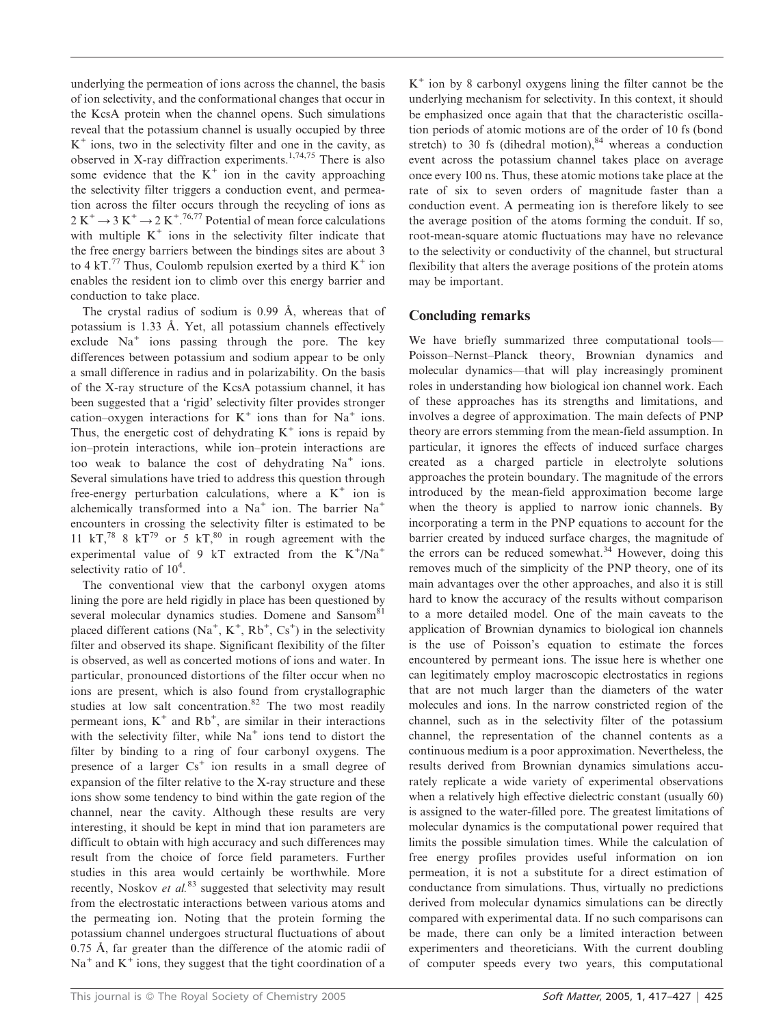underlying the permeation of ions across the channel, the basis of ion selectivity, and the conformational changes that occur in the KcsA protein when the channel opens. Such simulations reveal that the potassium channel is usually occupied by three  $K^+$  ions, two in the selectivity filter and one in the cavity, as observed in X-ray diffraction experiments.<sup>1,74,75</sup> There is also some evidence that the  $K^+$  ion in the cavity approaching the selectivity filter triggers a conduction event, and permeation across the filter occurs through the recycling of ions as  $2 K^+ \rightarrow 3 K^+ \rightarrow 2 K^+$ .<sup>76,77</sup> Potential of mean force calculations with multiple  $K^+$  ions in the selectivity filter indicate that the free energy barriers between the bindings sites are about 3 to 4 kT.<sup>77</sup> Thus, Coulomb repulsion exerted by a third  $K^+$  ion enables the resident ion to climb over this energy barrier and conduction to take place.

The crystal radius of sodium is  $0.99$  Å, whereas that of potassium is 1.33 Å. Yet, all potassium channels effectively exclude  $Na<sup>+</sup>$  ions passing through the pore. The key differences between potassium and sodium appear to be only a small difference in radius and in polarizability. On the basis of the X-ray structure of the KcsA potassium channel, it has been suggested that a 'rigid' selectivity filter provides stronger cation–oxygen interactions for  $K^+$  ions than for Na<sup>+</sup> ions. Thus, the energetic cost of dehydrating  $K^+$  ions is repaid by ion–protein interactions, while ion–protein interactions are too weak to balance the cost of dehydrating Na<sup>+</sup> ions. Several simulations have tried to address this question through free-energy perturbation calculations, where a  $K^+$  ion is alchemically transformed into a  $Na<sup>+</sup>$  ion. The barrier  $Na<sup>+</sup>$ encounters in crossing the selectivity filter is estimated to be 11 kT,<sup>78</sup> 8 kT<sup>79</sup> or 5 kT,<sup>80</sup> in rough agreement with the experimental value of 9 kT extracted from the  $K^+/Na^+$ selectivity ratio of  $10^4$ .

The conventional view that the carbonyl oxygen atoms lining the pore are held rigidly in place has been questioned by several molecular dynamics studies. Domene and Sansom<sup>81</sup> placed different cations  $(Na^+, K^+, Rb^+, Cs^+)$  in the selectivity filter and observed its shape. Significant flexibility of the filter is observed, as well as concerted motions of ions and water. In particular, pronounced distortions of the filter occur when no ions are present, which is also found from crystallographic studies at low salt concentration.<sup>82</sup> The two most readily permeant ions,  $K^+$  and  $Rb^+$ , are similar in their interactions with the selectivity filter, while  $Na<sup>+</sup>$  ions tend to distort the filter by binding to a ring of four carbonyl oxygens. The presence of a larger  $Cs<sup>+</sup>$  ion results in a small degree of expansion of the filter relative to the X-ray structure and these ions show some tendency to bind within the gate region of the channel, near the cavity. Although these results are very interesting, it should be kept in mind that ion parameters are difficult to obtain with high accuracy and such differences may result from the choice of force field parameters. Further studies in this area would certainly be worthwhile. More recently, Noskov et al.<sup>83</sup> suggested that selectivity may result from the electrostatic interactions between various atoms and the permeating ion. Noting that the protein forming the potassium channel undergoes structural fluctuations of about  $0.75$  Å, far greater than the difference of the atomic radii of  $Na<sup>+</sup>$  and  $K<sup>+</sup>$  ions, they suggest that the tight coordination of a

 $K^+$  ion by 8 carbonyl oxygens lining the filter cannot be the underlying mechanism for selectivity. In this context, it should be emphasized once again that that the characteristic oscillation periods of atomic motions are of the order of 10 fs (bond stretch) to 30 fs (dihedral motion), $84$  whereas a conduction event across the potassium channel takes place on average once every 100 ns. Thus, these atomic motions take place at the rate of six to seven orders of magnitude faster than a conduction event. A permeating ion is therefore likely to see the average position of the atoms forming the conduit. If so, root-mean-square atomic fluctuations may have no relevance to the selectivity or conductivity of the channel, but structural flexibility that alters the average positions of the protein atoms may be important.

# Concluding remarks

We have briefly summarized three computational tools— Poisson–Nernst–Planck theory, Brownian dynamics and molecular dynamics—that will play increasingly prominent roles in understanding how biological ion channel work. Each of these approaches has its strengths and limitations, and involves a degree of approximation. The main defects of PNP theory are errors stemming from the mean-field assumption. In particular, it ignores the effects of induced surface charges created as a charged particle in electrolyte solutions approaches the protein boundary. The magnitude of the errors introduced by the mean-field approximation become large when the theory is applied to narrow ionic channels. By incorporating a term in the PNP equations to account for the barrier created by induced surface charges, the magnitude of the errors can be reduced somewhat.<sup>34</sup> However, doing this removes much of the simplicity of the PNP theory, one of its main advantages over the other approaches, and also it is still hard to know the accuracy of the results without comparison to a more detailed model. One of the main caveats to the application of Brownian dynamics to biological ion channels is the use of Poisson's equation to estimate the forces encountered by permeant ions. The issue here is whether one can legitimately employ macroscopic electrostatics in regions that are not much larger than the diameters of the water molecules and ions. In the narrow constricted region of the channel, such as in the selectivity filter of the potassium channel, the representation of the channel contents as a continuous medium is a poor approximation. Nevertheless, the results derived from Brownian dynamics simulations accurately replicate a wide variety of experimental observations when a relatively high effective dielectric constant (usually 60) is assigned to the water-filled pore. The greatest limitations of molecular dynamics is the computational power required that limits the possible simulation times. While the calculation of free energy profiles provides useful information on ion permeation, it is not a substitute for a direct estimation of conductance from simulations. Thus, virtually no predictions derived from molecular dynamics simulations can be directly compared with experimental data. If no such comparisons can be made, there can only be a limited interaction between experimenters and theoreticians. With the current doubling of computer speeds every two years, this computational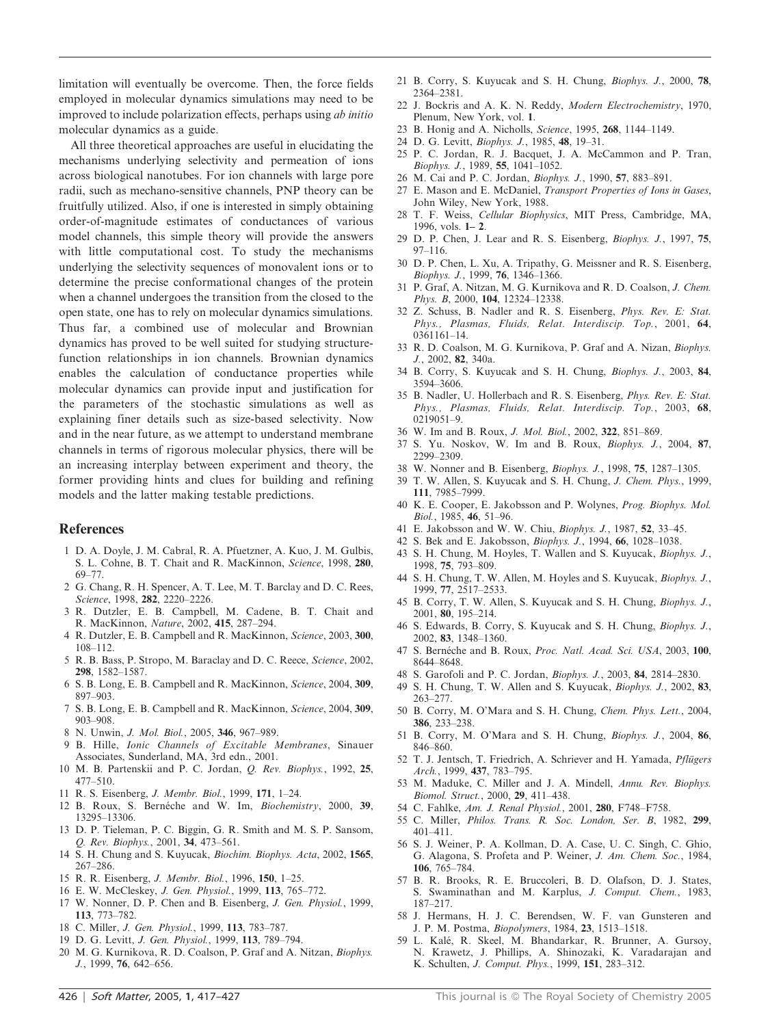limitation will eventually be overcome. Then, the force fields employed in molecular dynamics simulations may need to be improved to include polarization effects, perhaps using ab initio molecular dynamics as a guide.

All three theoretical approaches are useful in elucidating the mechanisms underlying selectivity and permeation of ions across biological nanotubes. For ion channels with large pore radii, such as mechano-sensitive channels, PNP theory can be fruitfully utilized. Also, if one is interested in simply obtaining order-of-magnitude estimates of conductances of various model channels, this simple theory will provide the answers with little computational cost. To study the mechanisms underlying the selectivity sequences of monovalent ions or to determine the precise conformational changes of the protein when a channel undergoes the transition from the closed to the open state, one has to rely on molecular dynamics simulations. Thus far, a combined use of molecular and Brownian dynamics has proved to be well suited for studying structurefunction relationships in ion channels. Brownian dynamics enables the calculation of conductance properties while molecular dynamics can provide input and justification for the parameters of the stochastic simulations as well as explaining finer details such as size-based selectivity. Now and in the near future, as we attempt to understand membrane channels in terms of rigorous molecular physics, there will be an increasing interplay between experiment and theory, the former providing hints and clues for building and refining models and the latter making testable predictions.

#### References

- 1 D. A. Doyle, J. M. Cabral, R. A. Pfuetzner, A. Kuo, J. M. Gulbis, S. L. Cohne, B. T. Chait and R. MacKinnon, Science, 1998, 280, 69–77.
- 2 G. Chang, R. H. Spencer, A. T. Lee, M. T. Barclay and D. C. Rees, Science, 1998, 282, 2220–2226.
- 3 R. Dutzler, E. B. Campbell, M. Cadene, B. T. Chait and R. MacKinnon, Nature, 2002, 415, 287–294.
- 4 R. Dutzler, E. B. Campbell and R. MacKinnon, Science, 2003, 300, 108–112.
- 5 R. B. Bass, P. Stropo, M. Baraclay and D. C. Reece, Science, 2002, 298, 1582–1587.
- 6 S. B. Long, E. B. Campbell and R. MacKinnon, Science, 2004, 309, 897–903.
- 7 S. B. Long, E. B. Campbell and R. MacKinnon, Science, 2004, 309, 903–908.
- 8 N. Unwin, J. Mol. Biol., 2005, 346, 967–989.
- 9 B. Hille, Ionic Channels of Excitable Membranes, Sinauer Associates, Sunderland, MA, 3rd edn., 2001.
- 10 M. B. Partenskii and P. C. Jordan, Q. Rev. Biophys., 1992, 25, 477–510.
- 11 R. S. Eisenberg, J. Membr. Biol., 1999, 171, 1–24.
- 12 B. Roux, S. Bernéche and W. Im, Biochemistry, 2000, 39, 13295–13306.
- 13 D. P. Tieleman, P. C. Biggin, G. R. Smith and M. S. P. Sansom, Q. Rev. Biophys., 2001, 34, 473–561.
- 14 S. H. Chung and S. Kuyucak, Biochim. Biophys. Acta, 2002, 1565, 267–286.
- 15 R. R. Eisenberg, J. Membr. Biol., 1996, 150, 1–25.
- 16 E. W. McCleskey, J. Gen. Physiol., 1999, 113, 765–772.
- 17 W. Nonner, D. P. Chen and B. Eisenberg, J. Gen. Physiol., 1999, 113, 773–782.
- 18 C. Miller, J. Gen. Physiol., 1999, 113, 783–787.
- 19 D. G. Levitt, J. Gen. Physiol., 1999, 113, 789–794.
- 20 M. G. Kurnikova, R. D. Coalson, P. Graf and A. Nitzan, Biophys. J., 1999, 76, 642–656.
- 21 B. Corry, S. Kuyucak and S. H. Chung, Biophys. J., 2000, 78, 2364–2381.
- 22 J. Bockris and A. K. N. Reddy, Modern Electrochemistry, 1970, Plenum, New York, vol. 1.
- 23 B. Honig and A. Nicholls, Science, 1995, 268, 1144–1149.
- 24 D. G. Levitt, Biophys. J., 1985, 48, 19–31.
- 25 P. C. Jordan, R. J. Bacquet, J. A. McCammon and P. Tran, Biophys. J., 1989, 55, 1041–1052.
- 26 M. Cai and P. C. Jordan, Biophys. J., 1990, 57, 883–891.
- 27 E. Mason and E. McDaniel, Transport Properties of Ions in Gases, John Wiley, New York, 1988.
- 28 T. F. Weiss, Cellular Biophysics, MIT Press, Cambridge, MA, 1996, vols. 1– 2.
- 29 D. P. Chen, J. Lear and R. S. Eisenberg, Biophys. J., 1997, 75, 97–116.
- 30 D. P. Chen, L. Xu, A. Tripathy, G. Meissner and R. S. Eisenberg, Biophys. J., 1999, 76, 1346–1366.
- 31 P. Graf, A. Nitzan, M. G. Kurnikova and R. D. Coalson, J. Chem. Phys. B, 2000, 104, 12324–12338.
- 32 Z. Schuss, B. Nadler and R. S. Eisenberg, Phys. Rev. E: Stat. Phys., Plasmas, Fluids, Relat. Interdiscip. Top., 2001, 64, 0361161–14.
- 33 R. D. Coalson, M. G. Kurnikova, P. Graf and A. Nizan, Biophys. J., 2002, 82, 340a.
- 34 B. Corry, S. Kuyucak and S. H. Chung, Biophys. J., 2003, 84, 3594–3606.
- 35 B. Nadler, U. Hollerbach and R. S. Eisenberg, Phys. Rev. E: Stat. Phys., Plasmas, Fluids, Relat. Interdiscip. Top., 2003, 68, 0219051–9.
- 36 W. Im and B. Roux, J. Mol. Biol., 2002, 322, 851–869.
- 37 S. Yu. Noskov, W. Im and B. Roux, Biophys. J., 2004, 87, 2299–2309.
- 38 W. Nonner and B. Eisenberg, Biophys. J., 1998, 75, 1287–1305.
- 39 T. W. Allen, S. Kuyucak and S. H. Chung, J. Chem. Phys., 1999, 111, 7985–7999.
- 40 K. E. Cooper, E. Jakobsson and P. Wolynes, Prog. Biophys. Mol. Biol., 1985, 46, 51–96.
- 41 E. Jakobsson and W. W. Chiu, Biophys. J., 1987, 52, 33–45.
- 42 S. Bek and E. Jakobsson, Biophys. J., 1994, 66, 1028–1038.
- 43 S. H. Chung, M. Hoyles, T. Wallen and S. Kuyucak, Biophys. J., 1998, 75, 793–809.
- 44 S. H. Chung, T. W. Allen, M. Hoyles and S. Kuyucak, Biophys. J., 1999, 77, 2517–2533.
- 45 B. Corry, T. W. Allen, S. Kuyucak and S. H. Chung, Biophys. J., 2001, 80, 195–214.
- 46 S. Edwards, B. Corry, S. Kuyucak and S. H. Chung, Biophys. J., 2002, 83, 1348–1360.
- 47 S. Bernéche and B. Roux, Proc. Natl. Acad. Sci. USA, 2003, 100, 8644–8648.
- 48 S. Garofoli and P. C. Jordan, Biophys. J., 2003, 84, 2814–2830.
- 49 S. H. Chung, T. W. Allen and S. Kuyucak, Biophys. J., 2002, 83, 263–277.
- 50 B. Corry, M. O'Mara and S. H. Chung, Chem. Phys. Lett., 2004, 386, 233–238.
- 51 B. Corry, M. O'Mara and S. H. Chung, Biophys. J., 2004, 86, 846–860.
- 52 T. J. Jentsch, T. Friedrich, A. Schriever and H. Yamada, Pflügers Arch., 1999, 437, 783–795.
- 53 M. Maduke, C. Miller and J. A. Mindell, Annu. Rev. Biophys. Biomol. Struct., 2000, 29, 411–438.
- 54 C. Fahlke, Am. J. Renal Physiol., 2001, 280, F748–F758.
- 55 C. Miller, Philos. Trans. R. Soc. London, Ser. B, 1982, 299, 401–411.
- 56 S. J. Weiner, P. A. Kollman, D. A. Case, U. C. Singh, C. Ghio, G. Alagona, S. Profeta and P. Weiner, J. Am. Chem. Soc., 1984, 106, 765–784.
- 57 B. R. Brooks, R. E. Bruccoleri, B. D. Olafson, D. J. States, S. Swaminathan and M. Karplus, J. Comput. Chem., 1983, 187–217.
- 58 J. Hermans, H. J. C. Berendsen, W. F. van Gunsteren and J. P. M. Postma, Biopolymers, 1984, 23, 1513–1518.
- 59 L. Kalé, R. Skeel, M. Bhandarkar, R. Brunner, A. Gursoy, N. Krawetz, J. Phillips, A. Shinozaki, K. Varadarajan and K. Schulten, J. Comput. Phys., 1999, 151, 283–312.